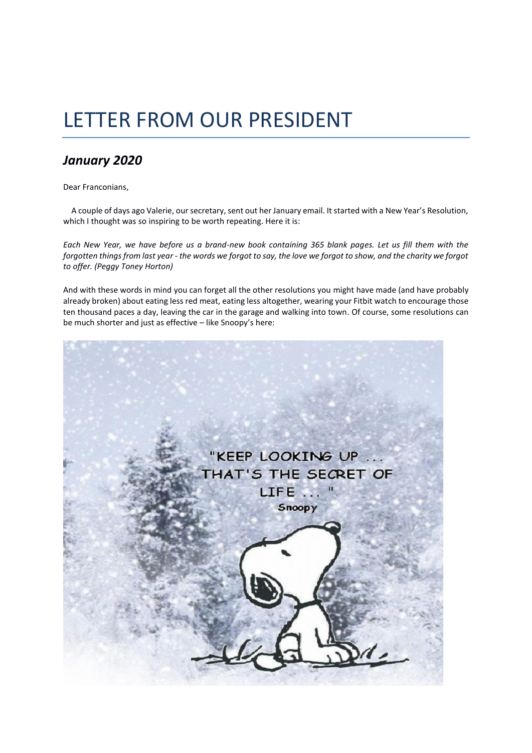## LETTER FROM OUR PRESIDENT

## *January 2020*

Dear Franconians,

 A couple of days ago Valerie, our secretary, sent out her January email. It started with a New Year's Resolution, which I thought was so inspiring to be worth repeating. Here it is:

*Each New Year, we have before us a brand-new book containing 365 blank pages. Let us fill them with the forgotten things from last year - the words we forgot to say, the love we forgot to show, and the charity we forgot to offer. (Peggy Toney Horton)*

And with these words in mind you can forget all the other resolutions you might have made (and have probably already broken) about eating less red meat, eating less altogether, wearing your Fitbit watch to encourage those ten thousand paces a day, leaving the car in the garage and walking into town. Of course, some resolutions can be much shorter and just as effective – like Snoopy's here:

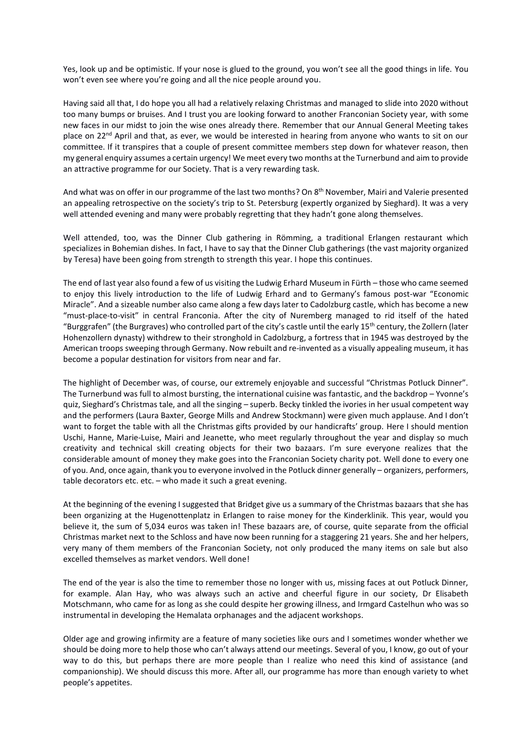Yes, look up and be optimistic. If your nose is glued to the ground, you won't see all the good things in life. You won't even see where you're going and all the nice people around you.

Having said all that, I do hope you all had a relatively relaxing Christmas and managed to slide into 2020 without too many bumps or bruises. And I trust you are looking forward to another Franconian Society year, with some new faces in our midst to join the wise ones already there. Remember that our Annual General Meeting takes place on  $22^{nd}$  April and that, as ever, we would be interested in hearing from anyone who wants to sit on our committee. If it transpires that a couple of present committee members step down for whatever reason, then my general enquiry assumes a certain urgency! We meet every two months at the Turnerbund and aim to provide an attractive programme for our Society. That is a very rewarding task.

And what was on offer in our programme of the last two months? On 8<sup>th</sup> November, Mairi and Valerie presented an appealing retrospective on the society's trip to St. Petersburg (expertly organized by Sieghard). It was a very well attended evening and many were probably regretting that they hadn't gone along themselves.

Well attended, too, was the Dinner Club gathering in Römming, a traditional Erlangen restaurant which specializes in Bohemian dishes. In fact, I have to say that the Dinner Club gatherings (the vast majority organized by Teresa) have been going from strength to strength this year. I hope this continues.

The end of last year also found a few of us visiting the Ludwig Erhard Museum in Fürth – those who came seemed to enjoy this lively introduction to the life of Ludwig Erhard and to Germany's famous post-war "Economic Miracle". And a sizeable number also came along a few days later to Cadolzburg castle, which has become a new "must-place-to-visit" in central Franconia. After the city of Nuremberg managed to rid itself of the hated "Burggrafen" (the Burgraves) who controlled part of the city's castle until the early 15<sup>th</sup> century, the Zollern (later Hohenzollern dynasty) withdrew to their stronghold in Cadolzburg, a fortress that in 1945 was destroyed by the American troops sweeping through Germany. Now rebuilt and re-invented as a visually appealing museum, it has become a popular destination for visitors from near and far.

The highlight of December was, of course, our extremely enjoyable and successful "Christmas Potluck Dinner". The Turnerbund was full to almost bursting, the international cuisine was fantastic, and the backdrop – Yvonne's quiz, Sieghard's Christmas tale, and all the singing – superb. Becky tinkled the ivories in her usual competent way and the performers (Laura Baxter, George Mills and Andrew Stockmann) were given much applause. And I don't want to forget the table with all the Christmas gifts provided by our handicrafts' group. Here I should mention Uschi, Hanne, Marie-Luise, Mairi and Jeanette, who meet regularly throughout the year and display so much creativity and technical skill creating objects for their two bazaars. I'm sure everyone realizes that the considerable amount of money they make goes into the Franconian Society charity pot. Well done to every one of you. And, once again, thank you to everyone involved in the Potluck dinner generally – organizers, performers, table decorators etc. etc. – who made it such a great evening.

At the beginning of the evening I suggested that Bridget give us a summary of the Christmas bazaars that she has been organizing at the Hugenottenplatz in Erlangen to raise money for the Kinderklinik. This year, would you believe it, the sum of 5,034 euros was taken in! These bazaars are, of course, quite separate from the official Christmas market next to the Schloss and have now been running for a staggering 21 years. She and her helpers, very many of them members of the Franconian Society, not only produced the many items on sale but also excelled themselves as market vendors. Well done!

The end of the year is also the time to remember those no longer with us, missing faces at out Potluck Dinner, for example. Alan Hay, who was always such an active and cheerful figure in our society, Dr Elisabeth Motschmann, who came for as long as she could despite her growing illness, and Irmgard Castelhun who was so instrumental in developing the Hemalata orphanages and the adjacent workshops.

Older age and growing infirmity are a feature of many societies like ours and I sometimes wonder whether we should be doing more to help those who can't always attend our meetings. Several of you, I know, go out of your way to do this, but perhaps there are more people than I realize who need this kind of assistance (and companionship). We should discuss this more. After all, our programme has more than enough variety to whet people's appetites.